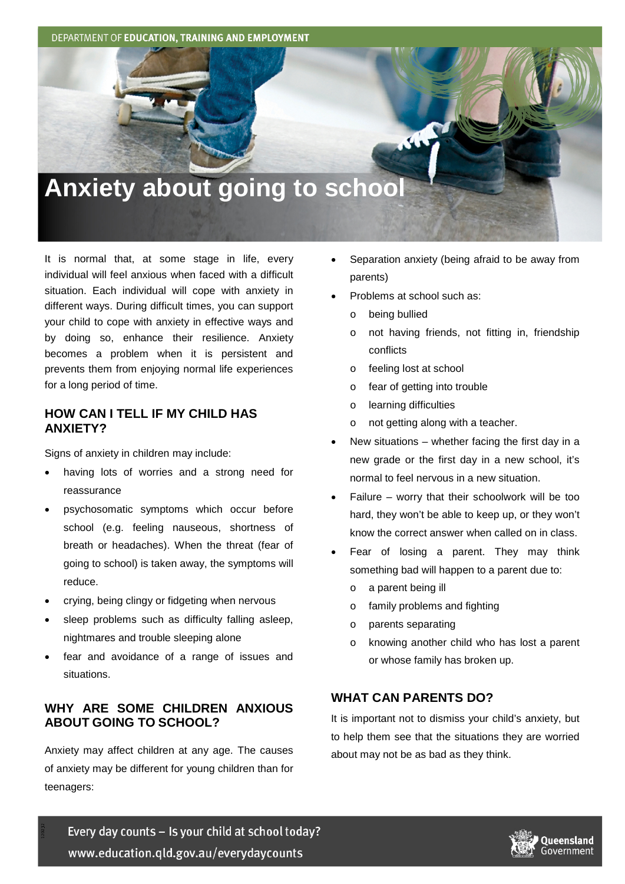DEPARTMENT OF EDUCATION, TRAINING AND EMPLOYMENT

# **Anxiety about going to school**

It is normal that, at some stage in life, every individual will feel anxious when faced with a difficult situation. Each individual will cope with anxiety in different ways. During difficult times, you can support your child to cope with anxiety in effective ways and by doing so, enhance their resilience. Anxiety becomes a problem when it is persistent and prevents them from enjoying normal life experiences for a long period of time.

#### **HOW CAN I TELL IF MY CHILD HAS ANXIETY?**

Signs of anxiety in children may include:

- having lots of worries and a strong need for reassurance
- psychosomatic symptoms which occur before school (e.g. feeling nauseous, shortness of breath or headaches). When the threat (fear of going to school) is taken away, the symptoms will reduce.
- crying, being clingy or fidgeting when nervous
- sleep problems such as difficulty falling asleep, nightmares and trouble sleeping alone
- fear and avoidance of a range of issues and situations.

## **WHY ARE SOME CHILDREN ANXIOUS ABOUT GOING TO SCHOOL?**

Anxiety may affect children at any age. The causes of anxiety may be different for young children than for teenagers:

- Separation anxiety (being afraid to be away from parents)
- Problems at school such as:
	- o being bullied
	- o not having friends, not fitting in, friendship conflicts
	- o feeling lost at school
	- o fear of getting into trouble
	- o learning difficulties
	- o not getting along with a teacher.
- New situations  $-$  whether facing the first day in a new grade or the first day in a new school, it's normal to feel nervous in a new situation.
- Failure worry that their schoolwork will be too hard, they won't be able to keep up, or they won't know the correct answer when called on in class.
- Fear of losing a parent. They may think something bad will happen to a parent due to:
	- o a parent being ill
	- o family problems and fighting
	- o parents separating
	- o knowing another child who has lost a parent or whose family has broken up.

## **WHAT CAN PARENTS DO?**

It is important not to dismiss your child's anxiety, but to help them see that the situations they are worried about may not be as bad as they think.

Every day counts - Is your child at school today? www.education.qld.gov.au/everydaycounts

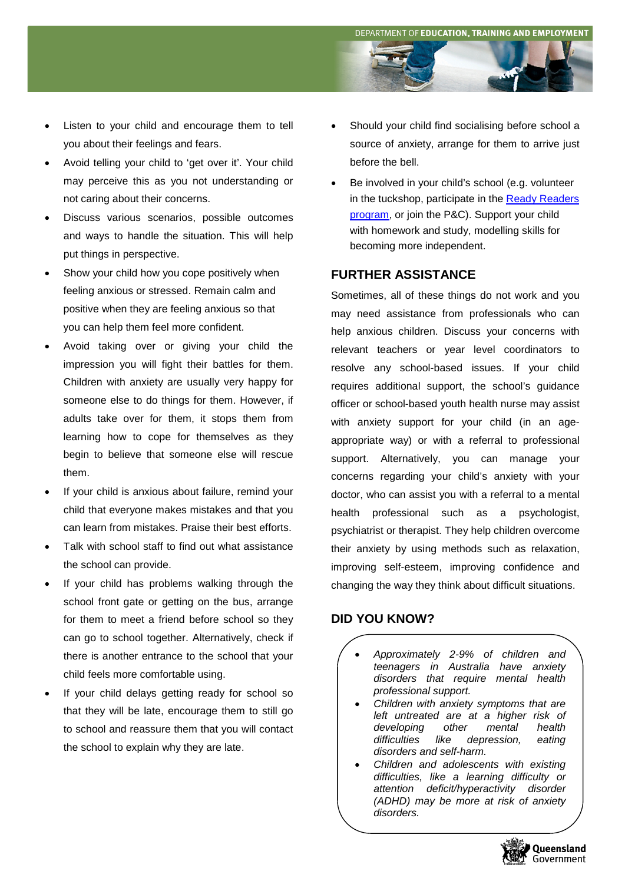- Listen to your child and encourage them to tell you about their feelings and fears.
- Avoid telling your child to 'get over it'. Your child may perceive this as you not understanding or not caring about their concerns.
- Discuss various scenarios, possible outcomes and ways to handle the situation. This will help put things in perspective.
- Show your child how you cope positively when feeling anxious or stressed. Remain calm and positive when they are feeling anxious so that you can help them feel more confident.
- Avoid taking over or giving your child the impression you will fight their battles for them. Children with anxiety are usually very happy for someone else to do things for them. However, if adults take over for them, it stops them from learning how to cope for themselves as they begin to believe that someone else will rescue them.
- If your child is anxious about failure, remind your child that everyone makes mistakes and that you can learn from mistakes. Praise their best efforts.
- Talk with school staff to find out what assistance the school can provide.
- If your child has problems walking through the school front gate or getting on the bus, arrange for them to meet a friend before school so they can go to school together. Alternatively, check if there is another entrance to the school that your child feels more comfortable using.
- If your child delays getting ready for school so that they will be late, encourage them to still go to school and reassure them that you will contact the school to explain why they are late.
- Should your child find socialising before school a source of anxiety, arrange for them to arrive just before the bell.
- Be involved in your child's school (e.g. volunteer in the tuckshop, participate in the Ready Readers [program,](http://deta.qld.gov.au/initiatives/flyingstart/parents-carers/learning-early-years/qld-ready-readers.html) or join the P&C). Support your child with homework and study, modelling skills for becoming more independent.

## **FURTHER ASSISTANCE**

Sometimes, all of these things do not work and you may need assistance from professionals who can help anxious children. Discuss your concerns with relevant teachers or year level coordinators to resolve any school-based issues. If your child requires additional support, the school's guidance officer or school-based youth health nurse may assist with anxiety support for your child (in an ageappropriate way) or with a referral to professional support. Alternatively, you can manage your concerns regarding your child's anxiety with your doctor, who can assist you with a referral to a mental health professional such as a psychologist, psychiatrist or therapist. They help children overcome their anxiety by using methods such as relaxation, improving self-esteem, improving confidence and changing the way they think about difficult situations.

#### **DID YOU KNOW?**

- *Approximately 2-9% of children and teenagers in Australia have anxiety disorders that require mental health professional support.*
- *Children with anxiety symptoms that are left untreated are at a higher risk of developing other mental health depression, eating disorders and self-harm.*
- *Children and adolescents with existing difficulties, like a learning difficulty or attention deficit/hyperactivity disorder (ADHD) may be more at risk of anxiety disorders.*